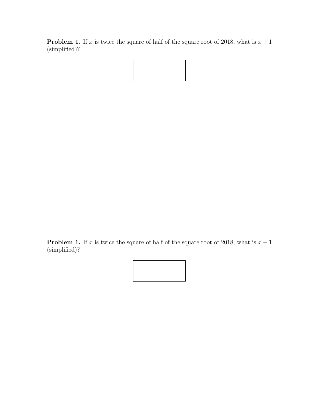**Problem 1.** If x is twice the square of half of the square root of 2018, what is  $x + 1$ (simplified)?

**Problem 1.** If x is twice the square of half of the square root of 2018, what is  $x + 1$ (simplified)?

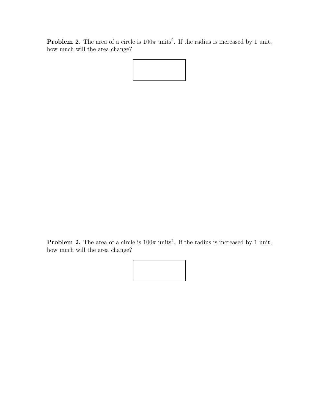**Problem 2.** The area of a circle is  $100\pi$  units<sup>2</sup>. If the radius is increased by 1 unit, how much will the area change?

**Problem 2.** The area of a circle is  $100\pi$  units<sup>2</sup>. If the radius is increased by 1 unit, how much will the area change?

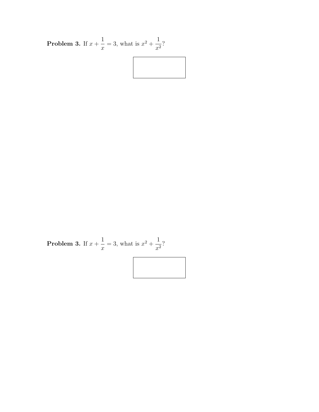**Problem 3.** If 
$$
x + \frac{1}{x} = 3
$$
, what is  $x^2 + \frac{1}{x^2}$ ?

1  $=$  3, what is  $x^2 + \frac{1}{x}$ Problem 3. If  $x +$  $\frac{1}{x^2}$ ?  $\overline{x}$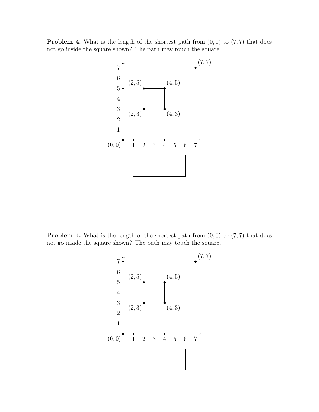**Problem 4.** What is the length of the shortest path from  $(0, 0)$  to  $(7, 7)$  that does not go inside the square shown? The path may touch the square.



**Problem 4.** What is the length of the shortest path from  $(0, 0)$  to  $(7, 7)$  that does not go inside the square shown? The path may touch the square.

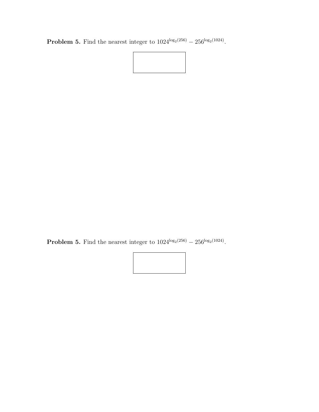**Problem 5.** Find the nearest integer to  $1024^{\log_2(256)} - 256^{\log_2(1024)}$ .



**Problem 5.** Find the nearest integer to  $1024^{\log_2(256)} - 256^{\log_2(1024)}$ .

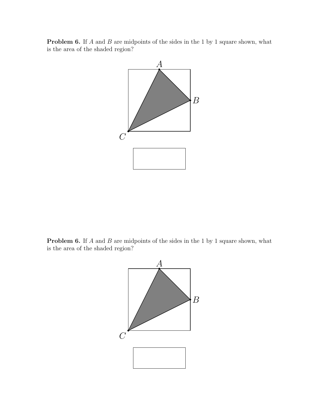Problem 6. If A and B are midpoints of the sides in the 1 by 1 square shown, what is the area of the shaded region?



**Problem 6.** If  $A$  and  $B$  are midpoints of the sides in the 1 by 1 square shown, what is the area of the shaded region?

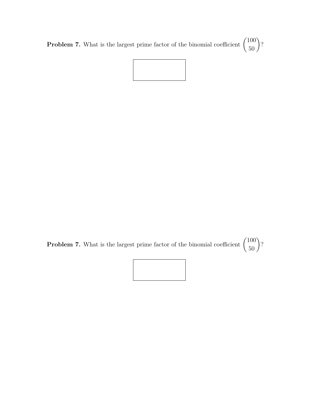**Problem 7.** What is the largest prime factor of the binomial coefficient  $\begin{pmatrix} 100 \\ 50 \end{pmatrix}$ ?



**Problem 7.** What is the largest prime factor of the binomial coefficient  $\begin{pmatrix} 100 \\ 50 \end{pmatrix}$ ?

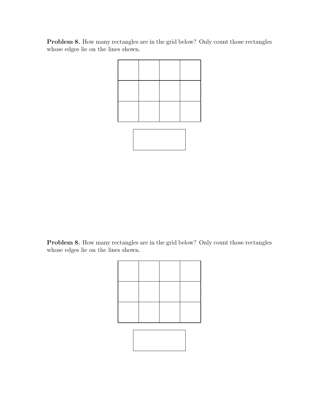Problem 8. How many rectangles are in the grid below? Only count those rectangles whose edges lie on the lines shown.



Problem 8. How many rectangles are in the grid below? Only count those rectangles whose edges lie on the lines shown.

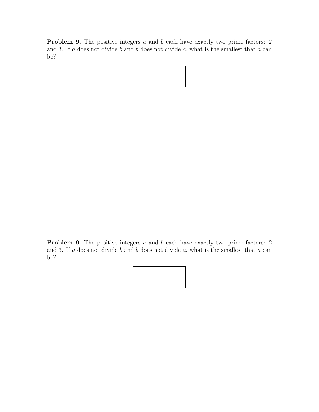**Problem 9.** The positive integers a and b each have exactly two prime factors: 2 and 3. If  $a$  does not divide  $b$  and  $b$  does not divide  $a$ , what is the smallest that  $a$  can be?



**Problem 9.** The positive integers a and b each have exactly two prime factors: 2 and 3. If  $a$  does not divide  $b$  and  $b$  does not divide  $a$ , what is the smallest that  $a$  can be?